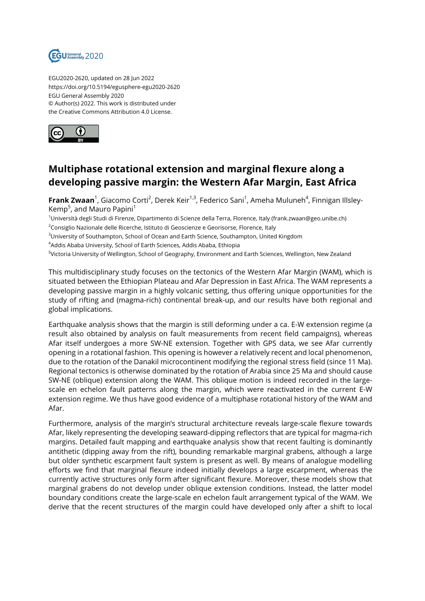

EGU2020-2620, updated on 28 Jun 2022 https://doi.org/10.5194/egusphere-egu2020-2620 EGU General Assembly 2020 © Author(s) 2022. This work is distributed under the Creative Commons Attribution 4.0 License.



## **Multiphase rotational extension and marginal flexure along a developing passive margin: the Western Afar Margin, East Africa**

**Frank Zwaan**<sup>1</sup>, Giacomo Corti<sup>2</sup>, Derek Keir<sup>1,3</sup>, Federico Sani<sup>1</sup>, Ameha Muluneh<sup>4</sup>, Finnigan Illsley-Kemp<sup>5</sup>, and Mauro Papini<sup>1</sup>

<sup>1</sup>Università degli Studi di Firenze, Dipartimento di Scienze della Terra, Florence, Italy (frank.zwaan@geo.unibe.ch) <sup>2</sup>Consiglio Nazionale delle Ricerche, Istituto di Geoscienze e Georisorse, Florence, Italy

<sup>3</sup>University of Southampton, School of Ocean and Earth Science, Southampton, United Kingdom

<sup>4</sup>Addis Ababa University, School of Earth Sciences, Addis Ababa, Ethiopia

<sup>5</sup>Victoria University of Wellington, School of Geography, Environment and Earth Sciences, Wellington, New Zealand

This multidisciplinary study focuses on the tectonics of the Western Afar Margin (WAM), which is situated between the Ethiopian Plateau and Afar Depression in East Africa. The WAM represents a developing passive margin in a highly volcanic setting, thus offering unique opportunities for the study of rifting and (magma-rich) continental break-up, and our results have both regional and global implications.

Earthquake analysis shows that the margin is still deforming under a ca. E-W extension regime (a result also obtained by analysis on fault measurements from recent field campaigns), whereas Afar itself undergoes a more SW-NE extension. Together with GPS data, we see Afar currently opening in a rotational fashion. This opening is however a relatively recent and local phenomenon, due to the rotation of the Danakil microcontinent modifying the regional stress field (since 11 Ma). Regional tectonics is otherwise dominated by the rotation of Arabia since 25 Ma and should cause SW-NE (oblique) extension along the WAM. This oblique motion is indeed recorded in the largescale en echelon fault patterns along the margin, which were reactivated in the current E-W extension regime. We thus have good evidence of a multiphase rotational history of the WAM and Afar.

Furthermore, analysis of the margin's structural architecture reveals large-scale flexure towards Afar, likely representing the developing seaward-dipping reflectors that are typical for magma-rich margins. Detailed fault mapping and earthquake analysis show that recent faulting is dominantly antithetic (dipping away from the rift), bounding remarkable marginal grabens, although a large but older synthetic escarpment fault system is present as well. By means of analogue modelling efforts we find that marginal flexure indeed initially develops a large escarpment, whereas the currently active structures only form after significant flexure. Moreover, these models show that marginal grabens do not develop under oblique extension conditions. Instead, the latter model boundary conditions create the large-scale en echelon fault arrangement typical of the WAM. We derive that the recent structures of the margin could have developed only after a shift to local